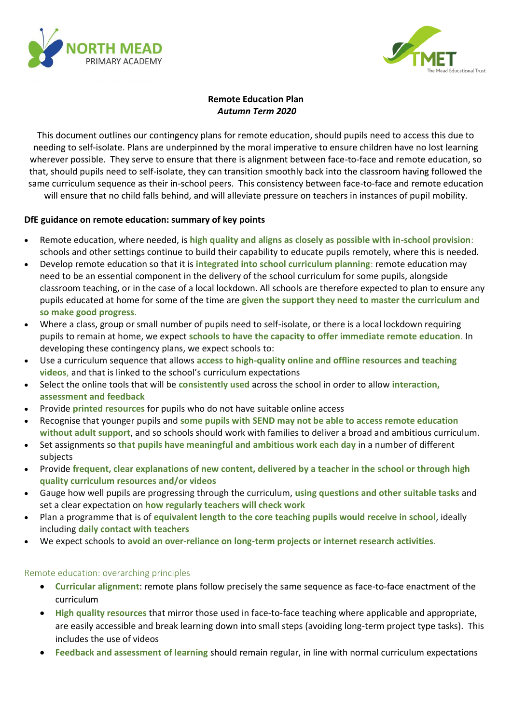



# **Remote Education Plan** *Autumn Term 2020*

This document outlines our contingency plans for remote education, should pupils need to access this due to needing to self-isolate. Plans are underpinned by the moral imperative to ensure children have no lost learning wherever possible. They serve to ensure that there is alignment between face-to-face and remote education, so that, should pupils need to self-isolate, they can transition smoothly back into the classroom having followed the same curriculum sequence as their in-school peers. This consistency between face-to-face and remote education will ensure that no child falls behind, and will alleviate pressure on teachers in instances of pupil mobility.

**DfE guidance on remote education: summary of key points**

- Remote education, where needed, is **high quality and aligns as closely as possible with in-school provision**: schools and other settings continue to build their capability to educate pupils remotely, where this is needed.
- Develop remote education so that it is **integrated into school curriculum planning**: remote education may need to be an essential component in the delivery of the school curriculum for some pupils, alongside classroom teaching, or in the case of a local lockdown. All schools are therefore expected to plan to ensure any pupils educated at home for some of the time are **given the support they need to master the curriculum and so make good progress**.
- Where a class, group or small number of pupils need to self-isolate, or there is a local lockdown requiring pupils to remain at home, we expect **schools to have the capacity to offer immediate remote education**. In developing these contingency plans, we expect schools to:
- Use a curriculum sequence that allows **access to high-quality online and offline resources and teaching videos**, and that is linked to the school's curriculum expectations
- Select the online tools that will be **consistently used** across the school in order to allow **interaction, assessment and feedback**
- Provide **printed resources** for pupils who do not have suitable online access
- Recognise that younger pupils and **some pupils with SEND may not be able to access remote education without adult support**, and so schools should work with families to deliver a broad and ambitious curriculum.
- Set assignments so **that pupils have meaningful and ambitious work each day** in a number of different subjects
- Provide **frequent, clear explanations of new content, delivered by a teacher in the school or through high quality curriculum resources and/or videos**
- Gauge how well pupils are progressing through the curriculum, **using questions and other suitable tasks** and set a clear expectation on **how regularly teachers will check work**
- Plan a programme that is of **equivalent length to the core teaching pupils would receive in school**, ideally including **daily contact with teachers**
- We expect schools to **avoid an over-reliance on long-term projects or internet research activities**.

## Remote education: overarching principles

- **Curricular alignment**: remote plans follow precisely the same sequence as face-to-face enactment of the curriculum
- **High quality resources** that mirror those used in face-to-face teaching where applicable and appropriate, are easily accessible and break learning down into small steps (avoiding long-term project type tasks). This includes the use of videos
- **Feedback and assessment of learning** should remain regular, in line with normal curriculum expectations